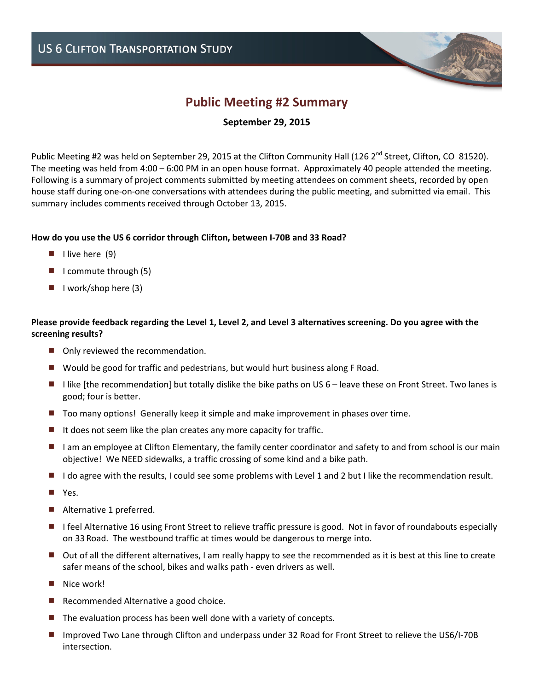# **Public Meeting #2 Summary**

# **September 29, 2015**

Public Meeting #2 was held on September 29, 2015 at the Clifton Community Hall (126 2<sup>nd</sup> Street, Clifton, CO 81520). The meeting was held from 4:00 – 6:00 PM in an open house format. Approximately 40 people attended the meeting. Following is a summary of project comments submitted by meeting attendees on comment sheets, recorded by open house staff during one-on-one conversations with attendees during the public meeting, and submitted via email. This summary includes comments received through October 13, 2015.

## **How do you use the US 6 corridor through Clifton, between I-70B and 33 Road?**

- $\blacksquare$  I live here (9)
- $\blacksquare$  I commute through (5)
- $\blacksquare$  I work/shop here (3)

## **Please provide feedback regarding the Level 1, Level 2, and Level 3 alternatives screening. Do you agree with the screening results?**

- Only reviewed the recommendation.
- Would be good for traffic and pedestrians, but would hurt business along F Road.
- I like [the recommendation] but totally dislike the bike paths on US  $6$  leave these on Front Street. Two lanes is good; four is better.
- Too many options! Generally keep it simple and make improvement in phases over time.
- $\blacksquare$  It does not seem like the plan creates any more capacity for traffic.
- I am an employee at Clifton Elementary, the family center coordinator and safety to and from school is our main objective! We NEED sidewalks, a traffic crossing of some kind and a bike path.
- I I do agree with the results, I could see some problems with Level 1 and 2 but I like the recommendation result.
- Yes.
- Alternative 1 preferred.
- I feel Alternative 16 using Front Street to relieve traffic pressure is good. Not in favor of roundabouts especially on 33 Road. The westbound traffic at times would be dangerous to merge into.
- Out of all the different alternatives, I am really happy to see the recommended as it is best at this line to create safer means of the school, bikes and walks path - even drivers as well.
- Nice work!
- Recommended Alternative a good choice.
- $\blacksquare$  The evaluation process has been well done with a variety of concepts.
- Improved Two Lane through Clifton and underpass under 32 Road for Front Street to relieve the US6/I-70B intersection.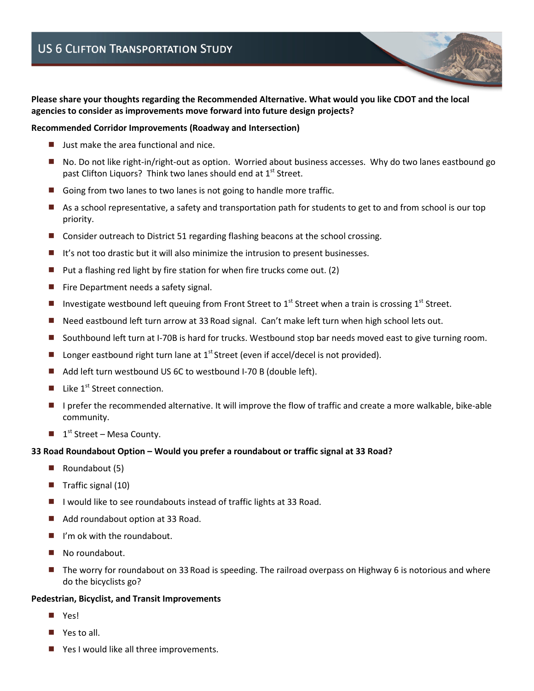**Please share your thoughts regarding the Recommended Alternative. What would you like CDOT and the local agencies to consider as improvements move forward into future design projects?** 

### **Recommended Corridor Improvements (Roadway and Intersection)**

- Just make the area functional and nice.
- No. Do not like right-in/right-out as option. Worried about business accesses. Why do two lanes eastbound go past Clifton Liquors? Think two lanes should end at 1<sup>st</sup> Street.
- Going from two lanes to two lanes is not going to handle more traffic.
- As a school representative, a safety and transportation path for students to get to and from school is our top priority.
- Consider outreach to District 51 regarding flashing beacons at the school crossing.
- It's not too drastic but it will also minimize the intrusion to present businesses.
- $\blacksquare$  Put a flashing red light by fire station for when fire trucks come out. (2)
- Fire Department needs a safety signal.
- Investigate westbound left queuing from Front Street to 1<sup>st</sup> Street when a train is crossing 1<sup>st</sup> Street.
- Need eastbound left turn arrow at 33 Road signal. Can't make left turn when high school lets out.
- Southbound left turn at I-70B is hard for trucks. Westbound stop bar needs moved east to give turning room.
- Longer eastbound right turn lane at  $1<sup>st</sup>$  Street (even if accel/decel is not provided).
- Add left turn westbound US 6C to westbound I-70 B (double left).
- Like 1<sup>st</sup> Street connection.
- I prefer the recommended alternative. It will improve the flow of traffic and create a more walkable, bike-able community.
- $\blacksquare$  1<sup>st</sup> Street Mesa County.

#### **33 Road Roundabout Option – Would you prefer a roundabout or traffic signal at 33 Road?**

- $\blacksquare$  Roundabout (5)
- $\blacksquare$  Traffic signal (10)
- $\blacksquare$  I would like to see roundabouts instead of traffic lights at 33 Road.
- Add roundabout option at 33 Road.
- $\blacksquare$  I'm ok with the roundabout.
- No roundabout.
- The worry for roundabout on 33 Road is speeding. The railroad overpass on Highway 6 is notorious and where do the bicyclists go?

#### **Pedestrian, Bicyclist, and Transit Improvements**

- **N** Yes!
- Yes to all.
- Yes I would like all three improvements.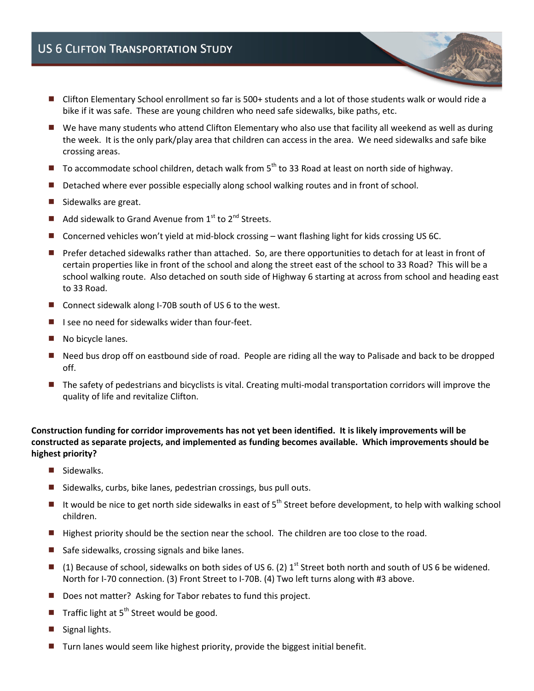- Clifton Elementary School enrollment so far is 500+ students and a lot of those students walk or would ride a bike if it was safe. These are young children who need safe sidewalks, bike paths, etc.
- We have many students who attend Clifton Elementary who also use that facility all weekend as well as during the week. It is the only park/play area that children can access in the area. We need sidewalks and safe bike crossing areas.
- $\blacksquare$  To accommodate school children, detach walk from  $5^{th}$  to 33 Road at least on north side of highway.
- Detached where ever possible especially along school walking routes and in front of school.
- Sidewalks are great.
- Add sidewalk to Grand Avenue from  $1<sup>st</sup>$  to  $2<sup>nd</sup>$  Streets.
- Concerned vehicles won't yield at mid-block crossing want flashing light for kids crossing US 6C.
- Prefer detached sidewalks rather than attached. So, are there opportunities to detach for at least in front of certain properties like in front of the school and along the street east of the school to 33 Road? This will be a school walking route. Also detached on south side of Highway 6 starting at across from school and heading east to 33 Road.
- Connect sidewalk along I-70B south of US 6 to the west.
- $\blacksquare$  I see no need for sidewalks wider than four-feet.
- No bicycle lanes.
- Need bus drop off on eastbound side of road. People are riding all the way to Palisade and back to be dropped off.
- The safety of pedestrians and bicyclists is vital. Creating multi-modal transportation corridors will improve the quality of life and revitalize Clifton.

**Construction funding for corridor improvements has not yet been identified. It is likely improvements will be constructed as separate projects, and implemented as funding becomes available. Which improvements should be highest priority?** 

- Sidewalks.
- $\blacksquare$  Sidewalks, curbs, bike lanes, pedestrian crossings, bus pull outs.
- If would be nice to get north side sidewalks in east of  $5<sup>th</sup>$  Street before development, to help with walking school children.
- Highest priority should be the section near the school. The children are too close to the road.
- $\blacksquare$  Safe sidewalks, crossing signals and bike lanes.
- (1) Because of school, sidewalks on both sides of US 6. (2)  $1<sup>st</sup>$  Street both north and south of US 6 be widened. North for I-70 connection. (3) Front Street to I-70B. (4) Two left turns along with #3 above.
- Does not matter? Asking for Tabor rebates to fund this project.
- Traffic light at  $5<sup>th</sup>$  Street would be good.
- Signal lights.
- Turn lanes would seem like highest priority, provide the biggest initial benefit.